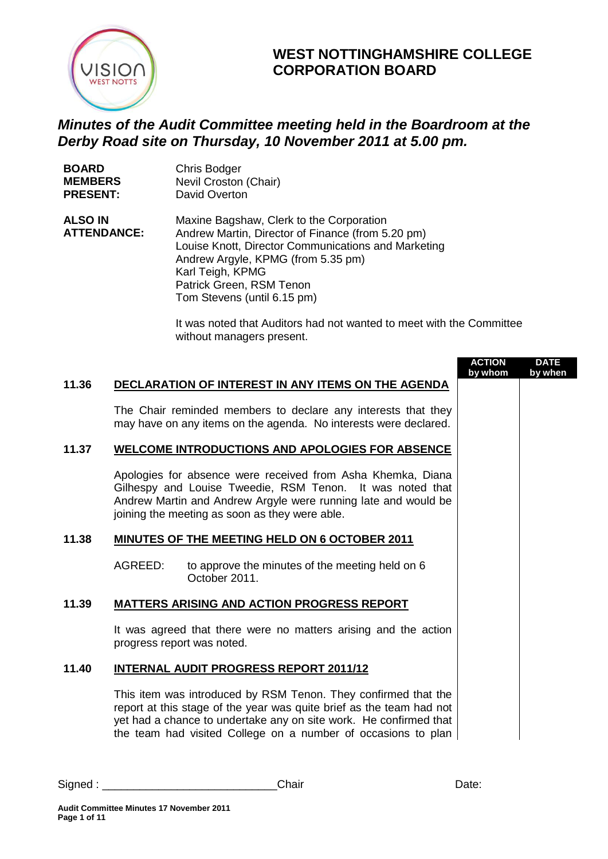

## **WEST NOTTINGHAMSHIRE COLLEGE CORPORATION BOARD**

## *Minutes of the Audit Committee meeting held in the Boardroom at the Derby Road site on Thursday, 10 November 2011 at 5.00 pm.*

| <b>BOARD</b>       | Chris Bodger                       |
|--------------------|------------------------------------|
| <b>MEMBERS</b>     | Nevil Croston (Chair)              |
| <b>PRESENT:</b>    | David Overton                      |
| <b>ALSO IN</b>     | Maxine Bagshaw, Clerk to the Cor   |
| <b>ATTENDANCE:</b> | Andrew Martin, Director of Finance |

rporation  $e$  (from 5.20 pm) Louise Knott, Director Communications and Marketing Andrew Argyle, KPMG (from 5.35 pm) Karl Teigh, KPMG Patrick Green, RSM Tenon Tom Stevens (until 6.15 pm)

> It was noted that Auditors had not wanted to meet with the Committee without managers present.

|       |                            |                                                                                                                                                                                                                                                                              | <b>ACTION</b><br>by whom | <b>DATE</b><br>by when |
|-------|----------------------------|------------------------------------------------------------------------------------------------------------------------------------------------------------------------------------------------------------------------------------------------------------------------------|--------------------------|------------------------|
| 11.36 |                            | DECLARATION OF INTEREST IN ANY ITEMS ON THE AGENDA                                                                                                                                                                                                                           |                          |                        |
|       |                            | The Chair reminded members to declare any interests that they<br>may have on any items on the agenda. No interests were declared.                                                                                                                                            |                          |                        |
| 11.37 |                            | <b>WELCOME INTRODUCTIONS AND APOLOGIES FOR ABSENCE</b>                                                                                                                                                                                                                       |                          |                        |
|       |                            | Apologies for absence were received from Asha Khemka, Diana<br>Gilhespy and Louise Tweedie, RSM Tenon. It was noted that<br>Andrew Martin and Andrew Argyle were running late and would be<br>joining the meeting as soon as they were able.                                 |                          |                        |
| 11.38 |                            | <b>MINUTES OF THE MEETING HELD ON 6 OCTOBER 2011</b>                                                                                                                                                                                                                         |                          |                        |
|       | AGREED:                    | to approve the minutes of the meeting held on 6<br>October 2011.                                                                                                                                                                                                             |                          |                        |
| 11.39 |                            | <b>MATTERS ARISING AND ACTION PROGRESS REPORT</b>                                                                                                                                                                                                                            |                          |                        |
|       | progress report was noted. | It was agreed that there were no matters arising and the action                                                                                                                                                                                                              |                          |                        |
| 11.40 |                            | <b>INTERNAL AUDIT PROGRESS REPORT 2011/12</b>                                                                                                                                                                                                                                |                          |                        |
|       |                            | This item was introduced by RSM Tenon. They confirmed that the<br>report at this stage of the year was quite brief as the team had not<br>yet had a chance to undertake any on site work. He confirmed that<br>the team had visited College on a number of occasions to plan |                          |                        |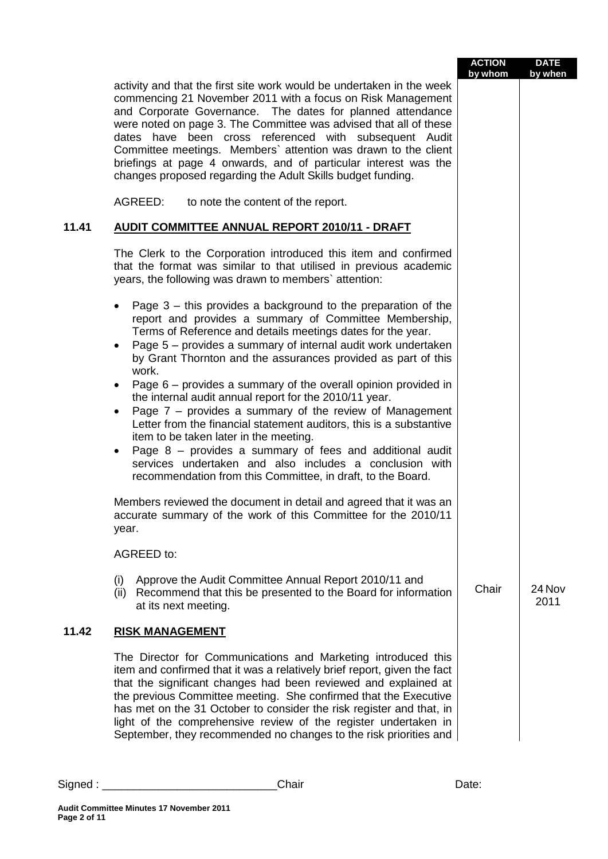|       |                                                                                                                                                                                                                                                                                                                                                                                                                                                                                                                                       | <b>ACTION</b><br>by whom | <b>DATE</b><br>by when |
|-------|---------------------------------------------------------------------------------------------------------------------------------------------------------------------------------------------------------------------------------------------------------------------------------------------------------------------------------------------------------------------------------------------------------------------------------------------------------------------------------------------------------------------------------------|--------------------------|------------------------|
|       | activity and that the first site work would be undertaken in the week<br>commencing 21 November 2011 with a focus on Risk Management<br>and Corporate Governance. The dates for planned attendance<br>were noted on page 3. The Committee was advised that all of these<br>dates have been cross referenced with subsequent Audit<br>Committee meetings. Members' attention was drawn to the client<br>briefings at page 4 onwards, and of particular interest was the<br>changes proposed regarding the Adult Skills budget funding. |                          |                        |
|       | AGREED:<br>to note the content of the report.                                                                                                                                                                                                                                                                                                                                                                                                                                                                                         |                          |                        |
| 11.41 | <b>AUDIT COMMITTEE ANNUAL REPORT 2010/11 - DRAFT</b>                                                                                                                                                                                                                                                                                                                                                                                                                                                                                  |                          |                        |
|       | The Clerk to the Corporation introduced this item and confirmed<br>that the format was similar to that utilised in previous academic<br>years, the following was drawn to members' attention:                                                                                                                                                                                                                                                                                                                                         |                          |                        |
|       | Page 3 – this provides a background to the preparation of the<br>$\bullet$<br>report and provides a summary of Committee Membership,<br>Terms of Reference and details meetings dates for the year.<br>Page 5 – provides a summary of internal audit work undertaken<br>$\bullet$<br>by Grant Thornton and the assurances provided as part of this<br>work.                                                                                                                                                                           |                          |                        |
|       | Page 6 – provides a summary of the overall opinion provided in<br>$\bullet$<br>the internal audit annual report for the 2010/11 year.<br>Page $7$ – provides a summary of the review of Management<br>$\bullet$<br>Letter from the financial statement auditors, this is a substantive<br>item to be taken later in the meeting.<br>Page 8 - provides a summary of fees and additional audit<br>$\bullet$<br>services undertaken and also includes a conclusion with<br>recommendation from this Committee, in draft, to the Board.   |                          |                        |
|       | Members reviewed the document in detail and agreed that it was an<br>accurate summary of the work of this Committee for the 2010/11<br>year.                                                                                                                                                                                                                                                                                                                                                                                          |                          |                        |
|       | AGREED to:                                                                                                                                                                                                                                                                                                                                                                                                                                                                                                                            |                          |                        |
|       | Approve the Audit Committee Annual Report 2010/11 and<br>(i)<br>(ii) Recommend that this be presented to the Board for information<br>at its next meeting.                                                                                                                                                                                                                                                                                                                                                                            | Chair                    | 24 Nov<br>2011         |
| 11.42 | <b>RISK MANAGEMENT</b>                                                                                                                                                                                                                                                                                                                                                                                                                                                                                                                |                          |                        |
|       | The Director for Communications and Marketing introduced this<br>item and confirmed that it was a relatively brief report, given the fact<br>that the significant changes had been reviewed and explained at<br>the previous Committee meeting. She confirmed that the Executive<br>has met on the 31 October to consider the risk register and that, in<br>light of the comprehensive review of the register undertaken in<br>September, they recommended no changes to the risk priorities and                                      |                          |                        |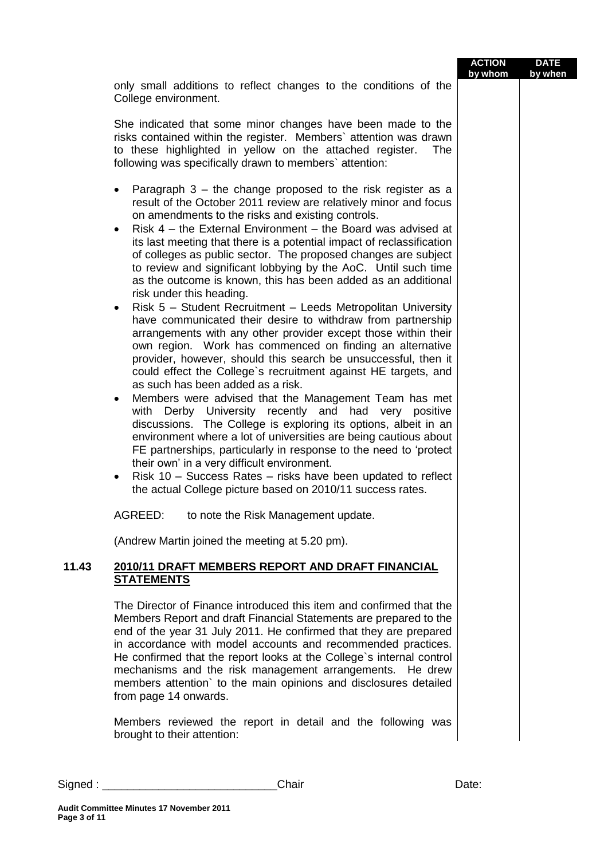|        |                                                                                                                                                                                                                                                                                                                                                                                                                                                                                                                                                                                                                                                                                                                                                                                                                                                                                                                                                                                                                                                                                                                                                                                                                                                                                                                                                                                                                                                                                                                                                                                                                        | <b>ACTION</b><br>by whom | <b>DATE</b><br>by when |
|--------|------------------------------------------------------------------------------------------------------------------------------------------------------------------------------------------------------------------------------------------------------------------------------------------------------------------------------------------------------------------------------------------------------------------------------------------------------------------------------------------------------------------------------------------------------------------------------------------------------------------------------------------------------------------------------------------------------------------------------------------------------------------------------------------------------------------------------------------------------------------------------------------------------------------------------------------------------------------------------------------------------------------------------------------------------------------------------------------------------------------------------------------------------------------------------------------------------------------------------------------------------------------------------------------------------------------------------------------------------------------------------------------------------------------------------------------------------------------------------------------------------------------------------------------------------------------------------------------------------------------------|--------------------------|------------------------|
|        | only small additions to reflect changes to the conditions of the<br>College environment.                                                                                                                                                                                                                                                                                                                                                                                                                                                                                                                                                                                                                                                                                                                                                                                                                                                                                                                                                                                                                                                                                                                                                                                                                                                                                                                                                                                                                                                                                                                               |                          |                        |
|        | She indicated that some minor changes have been made to the<br>risks contained within the register. Members' attention was drawn<br>to these highlighted in yellow on the attached register.<br>The<br>following was specifically drawn to members' attention:                                                                                                                                                                                                                                                                                                                                                                                                                                                                                                                                                                                                                                                                                                                                                                                                                                                                                                                                                                                                                                                                                                                                                                                                                                                                                                                                                         |                          |                        |
|        | Paragraph $3$ – the change proposed to the risk register as a<br>$\bullet$<br>result of the October 2011 review are relatively minor and focus<br>on amendments to the risks and existing controls.<br>Risk $4$ – the External Environment – the Board was advised at<br>$\bullet$<br>its last meeting that there is a potential impact of reclassification<br>of colleges as public sector. The proposed changes are subject<br>to review and significant lobbying by the AoC. Until such time<br>as the outcome is known, this has been added as an additional<br>risk under this heading.<br>Risk 5 - Student Recruitment - Leeds Metropolitan University<br>٠<br>have communicated their desire to withdraw from partnership<br>arrangements with any other provider except those within their<br>own region. Work has commenced on finding an alternative<br>provider, however, should this search be unsuccessful, then it<br>could effect the College's recruitment against HE targets, and<br>as such has been added as a risk.<br>Members were advised that the Management Team has met<br>٠<br>with Derby University recently and had very positive<br>discussions. The College is exploring its options, albeit in an<br>environment where a lot of universities are being cautious about<br>FE partnerships, particularly in response to the need to 'protect'<br>their own' in a very difficult environment.<br>Risk 10 - Success Rates - risks have been updated to reflect<br>$\bullet$<br>the actual College picture based on 2010/11 success rates.<br>AGREED:<br>to note the Risk Management update. |                          |                        |
|        | (Andrew Martin joined the meeting at 5.20 pm).                                                                                                                                                                                                                                                                                                                                                                                                                                                                                                                                                                                                                                                                                                                                                                                                                                                                                                                                                                                                                                                                                                                                                                                                                                                                                                                                                                                                                                                                                                                                                                         |                          |                        |
| 11.43  | 2010/11 DRAFT MEMBERS REPORT AND DRAFT FINANCIAL<br><b>STATEMENTS</b>                                                                                                                                                                                                                                                                                                                                                                                                                                                                                                                                                                                                                                                                                                                                                                                                                                                                                                                                                                                                                                                                                                                                                                                                                                                                                                                                                                                                                                                                                                                                                  |                          |                        |
|        | The Director of Finance introduced this item and confirmed that the<br>Members Report and draft Financial Statements are prepared to the<br>end of the year 31 July 2011. He confirmed that they are prepared<br>in accordance with model accounts and recommended practices.<br>He confirmed that the report looks at the College's internal control<br>mechanisms and the risk management arrangements. He drew<br>members attention' to the main opinions and disclosures detailed<br>from page 14 onwards.<br>Members reviewed the report in detail and the following was<br>brought to their attention:                                                                                                                                                                                                                                                                                                                                                                                                                                                                                                                                                                                                                                                                                                                                                                                                                                                                                                                                                                                                           |                          |                        |
| Sigma: | Chair                                                                                                                                                                                                                                                                                                                                                                                                                                                                                                                                                                                                                                                                                                                                                                                                                                                                                                                                                                                                                                                                                                                                                                                                                                                                                                                                                                                                                                                                                                                                                                                                                  | Date:                    |                        |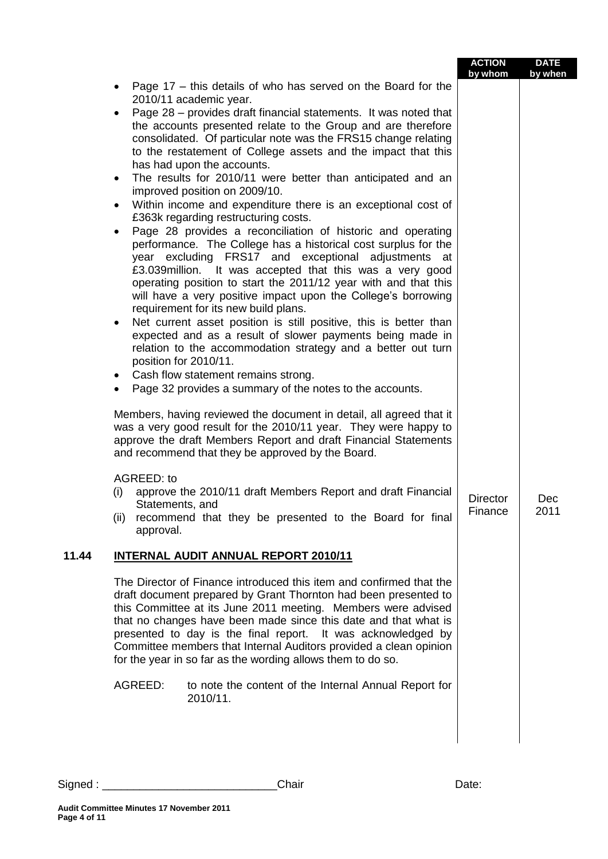|       |                                                                                                                                                                                                                                                                                                                                                                                                                                                                                                                                                                                                                                                                                                                                                                                                                                                                                                                                                                                                                                                                                                                                                                                                                                                                                                                                                                                                                                                                                                                                                                                                                                                                                                                                                                                                                                                                                                   | <b>ACTION</b><br>by whom   | <b>DATE</b><br>by when |  |
|-------|---------------------------------------------------------------------------------------------------------------------------------------------------------------------------------------------------------------------------------------------------------------------------------------------------------------------------------------------------------------------------------------------------------------------------------------------------------------------------------------------------------------------------------------------------------------------------------------------------------------------------------------------------------------------------------------------------------------------------------------------------------------------------------------------------------------------------------------------------------------------------------------------------------------------------------------------------------------------------------------------------------------------------------------------------------------------------------------------------------------------------------------------------------------------------------------------------------------------------------------------------------------------------------------------------------------------------------------------------------------------------------------------------------------------------------------------------------------------------------------------------------------------------------------------------------------------------------------------------------------------------------------------------------------------------------------------------------------------------------------------------------------------------------------------------------------------------------------------------------------------------------------------------|----------------------------|------------------------|--|
|       | Page 17 – this details of who has served on the Board for the<br>٠<br>2010/11 academic year.<br>Page 28 – provides draft financial statements. It was noted that<br>$\bullet$<br>the accounts presented relate to the Group and are therefore<br>consolidated. Of particular note was the FRS15 change relating<br>to the restatement of College assets and the impact that this<br>has had upon the accounts.<br>The results for 2010/11 were better than anticipated and an<br>$\bullet$<br>improved position on 2009/10.<br>Within income and expenditure there is an exceptional cost of<br>$\bullet$<br>£363k regarding restructuring costs.<br>Page 28 provides a reconciliation of historic and operating<br>performance. The College has a historical cost surplus for the<br>year excluding FRS17 and exceptional adjustments at<br>£3.039 million. It was accepted that this was a very good<br>operating position to start the 2011/12 year with and that this<br>will have a very positive impact upon the College's borrowing<br>requirement for its new build plans.<br>Net current asset position is still positive, this is better than<br>$\bullet$<br>expected and as a result of slower payments being made in<br>relation to the accommodation strategy and a better out turn<br>position for 2010/11.<br>Cash flow statement remains strong.<br>$\bullet$<br>Page 32 provides a summary of the notes to the accounts.<br>Members, having reviewed the document in detail, all agreed that it<br>was a very good result for the 2010/11 year. They were happy to<br>approve the draft Members Report and draft Financial Statements<br>and recommend that they be approved by the Board.<br>AGREED: to<br>approve the 2010/11 draft Members Report and draft Financial<br>(i)<br>Statements, and<br>(ii) recommend that they be presented to the Board for final<br>approval. | <b>Director</b><br>Finance | Dec<br>2011            |  |
| 11.44 | <b>INTERNAL AUDIT ANNUAL REPORT 2010/11</b>                                                                                                                                                                                                                                                                                                                                                                                                                                                                                                                                                                                                                                                                                                                                                                                                                                                                                                                                                                                                                                                                                                                                                                                                                                                                                                                                                                                                                                                                                                                                                                                                                                                                                                                                                                                                                                                       |                            |                        |  |
|       | The Director of Finance introduced this item and confirmed that the<br>draft document prepared by Grant Thornton had been presented to<br>this Committee at its June 2011 meeting. Members were advised<br>that no changes have been made since this date and that what is<br>presented to day is the final report. It was acknowledged by<br>Committee members that Internal Auditors provided a clean opinion<br>for the year in so far as the wording allows them to do so.<br>AGREED:<br>to note the content of the Internal Annual Report for<br>2010/11.                                                                                                                                                                                                                                                                                                                                                                                                                                                                                                                                                                                                                                                                                                                                                                                                                                                                                                                                                                                                                                                                                                                                                                                                                                                                                                                                    |                            |                        |  |
|       |                                                                                                                                                                                                                                                                                                                                                                                                                                                                                                                                                                                                                                                                                                                                                                                                                                                                                                                                                                                                                                                                                                                                                                                                                                                                                                                                                                                                                                                                                                                                                                                                                                                                                                                                                                                                                                                                                                   |                            |                        |  |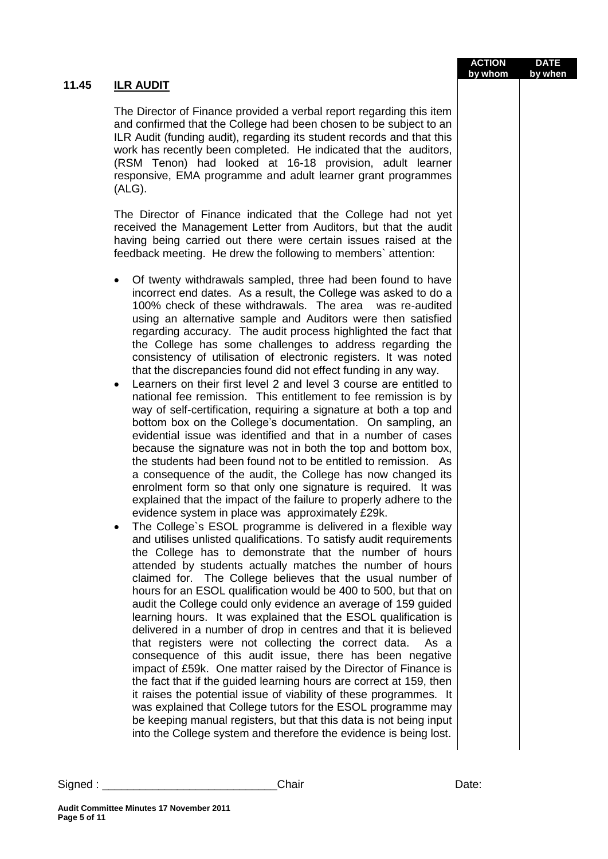| ILR AUDIT                                                                                                                                                                                                                                                                                                                                                                                                                                                                                                                                                                                                                                                                                                                                                                                                                                                                                                                                                                                                                                                                                                                                                                                                                                                                                                                                                                                                                                                                                                                                                                                                                                                                                                                                                                                                                                                                                                                                                                                                                                                                                                                                                                                                                                                                                                                                                                                                                                                                      |  |
|--------------------------------------------------------------------------------------------------------------------------------------------------------------------------------------------------------------------------------------------------------------------------------------------------------------------------------------------------------------------------------------------------------------------------------------------------------------------------------------------------------------------------------------------------------------------------------------------------------------------------------------------------------------------------------------------------------------------------------------------------------------------------------------------------------------------------------------------------------------------------------------------------------------------------------------------------------------------------------------------------------------------------------------------------------------------------------------------------------------------------------------------------------------------------------------------------------------------------------------------------------------------------------------------------------------------------------------------------------------------------------------------------------------------------------------------------------------------------------------------------------------------------------------------------------------------------------------------------------------------------------------------------------------------------------------------------------------------------------------------------------------------------------------------------------------------------------------------------------------------------------------------------------------------------------------------------------------------------------------------------------------------------------------------------------------------------------------------------------------------------------------------------------------------------------------------------------------------------------------------------------------------------------------------------------------------------------------------------------------------------------------------------------------------------------------------------------------------------------|--|
| The Director of Finance provided a verbal report regarding this item<br>and confirmed that the College had been chosen to be subject to an<br>ILR Audit (funding audit), regarding its student records and that this<br>work has recently been completed. He indicated that the auditors,<br>(RSM Tenon) had looked at 16-18 provision, adult learner<br>responsive, EMA programme and adult learner grant programmes<br>(ALG).                                                                                                                                                                                                                                                                                                                                                                                                                                                                                                                                                                                                                                                                                                                                                                                                                                                                                                                                                                                                                                                                                                                                                                                                                                                                                                                                                                                                                                                                                                                                                                                                                                                                                                                                                                                                                                                                                                                                                                                                                                                |  |
| The Director of Finance indicated that the College had not yet<br>received the Management Letter from Auditors, but that the audit<br>having being carried out there were certain issues raised at the<br>feedback meeting. He drew the following to members`attention:                                                                                                                                                                                                                                                                                                                                                                                                                                                                                                                                                                                                                                                                                                                                                                                                                                                                                                                                                                                                                                                                                                                                                                                                                                                                                                                                                                                                                                                                                                                                                                                                                                                                                                                                                                                                                                                                                                                                                                                                                                                                                                                                                                                                        |  |
| Of twenty withdrawals sampled, three had been found to have<br>٠<br>incorrect end dates. As a result, the College was asked to do a<br>100% check of these withdrawals. The area<br>was re-audited<br>using an alternative sample and Auditors were then satisfied<br>regarding accuracy. The audit process highlighted the fact that<br>the College has some challenges to address regarding the<br>consistency of utilisation of electronic registers. It was noted<br>that the discrepancies found did not effect funding in any way.<br>Learners on their first level 2 and level 3 course are entitled to<br>$\bullet$<br>national fee remission. This entitlement to fee remission is by<br>way of self-certification, requiring a signature at both a top and<br>bottom box on the College's documentation. On sampling, an<br>evidential issue was identified and that in a number of cases<br>because the signature was not in both the top and bottom box,<br>the students had been found not to be entitled to remission. As<br>a consequence of the audit, the College has now changed its<br>enrolment form so that only one signature is required. It was<br>explained that the impact of the failure to properly adhere to the<br>evidence system in place was approximately £29k.<br>The College's ESOL programme is delivered in a flexible way<br>$\bullet$<br>and utilises unlisted qualifications. To satisfy audit requirements<br>the College has to demonstrate that the number of hours<br>attended by students actually matches the number of hours<br>claimed for. The College believes that the usual number of<br>hours for an ESOL qualification would be 400 to 500, but that on<br>audit the College could only evidence an average of 159 guided<br>learning hours. It was explained that the ESOL qualification is<br>delivered in a number of drop in centres and that it is believed<br>that registers were not collecting the correct data.<br>As a<br>consequence of this audit issue, there has been negative<br>impact of £59k. One matter raised by the Director of Finance is<br>the fact that if the guided learning hours are correct at 159, then<br>it raises the potential issue of viability of these programmes. It<br>was explained that College tutors for the ESOL programme may<br>be keeping manual registers, but that this data is not being input<br>into the College system and therefore the evidence is being lost. |  |

## **11.45 ILR AUDIT**

**Audit Committee Minutes 17 November 2011 Page 5 of 11**

Signed : \_\_\_\_\_\_\_\_\_\_\_\_\_\_\_\_\_\_\_\_\_\_\_\_\_\_\_\_Chair Date:

**ACTION by whom DATE by when**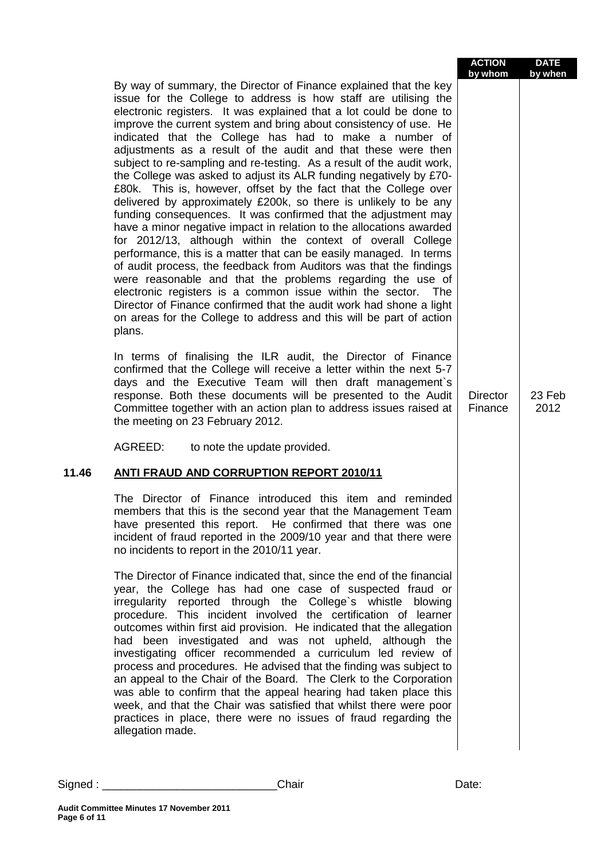|       |                                                                                                                                                                                                                                                                                                                                                                                                                                                                                                                                                                                                                                                                                                                                                                                                                                                                                                                                                                                                                                                                                                                                                                                                                                                                                                                                              | <b>ACTION</b><br>by whom   | <b>DATE</b><br>by when |
|-------|----------------------------------------------------------------------------------------------------------------------------------------------------------------------------------------------------------------------------------------------------------------------------------------------------------------------------------------------------------------------------------------------------------------------------------------------------------------------------------------------------------------------------------------------------------------------------------------------------------------------------------------------------------------------------------------------------------------------------------------------------------------------------------------------------------------------------------------------------------------------------------------------------------------------------------------------------------------------------------------------------------------------------------------------------------------------------------------------------------------------------------------------------------------------------------------------------------------------------------------------------------------------------------------------------------------------------------------------|----------------------------|------------------------|
|       | By way of summary, the Director of Finance explained that the key<br>issue for the College to address is how staff are utilising the<br>electronic registers. It was explained that a lot could be done to<br>improve the current system and bring about consistency of use. He<br>indicated that the College has had to make a number of<br>adjustments as a result of the audit and that these were then<br>subject to re-sampling and re-testing. As a result of the audit work,<br>the College was asked to adjust its ALR funding negatively by £70-<br>£80k. This is, however, offset by the fact that the College over<br>delivered by approximately £200k, so there is unlikely to be any<br>funding consequences. It was confirmed that the adjustment may<br>have a minor negative impact in relation to the allocations awarded<br>for 2012/13, although within the context of overall College<br>performance, this is a matter that can be easily managed. In terms<br>of audit process, the feedback from Auditors was that the findings<br>were reasonable and that the problems regarding the use of<br>electronic registers is a common issue within the sector. The<br>Director of Finance confirmed that the audit work had shone a light<br>on areas for the College to address and this will be part of action<br>plans. |                            |                        |
|       | In terms of finalising the ILR audit, the Director of Finance<br>confirmed that the College will receive a letter within the next 5-7<br>days and the Executive Team will then draft management's<br>response. Both these documents will be presented to the Audit<br>Committee together with an action plan to address issues raised at<br>the meeting on 23 February 2012.                                                                                                                                                                                                                                                                                                                                                                                                                                                                                                                                                                                                                                                                                                                                                                                                                                                                                                                                                                 | <b>Director</b><br>Finance | 23 Feb<br>2012         |
|       | AGREED:<br>to note the update provided.                                                                                                                                                                                                                                                                                                                                                                                                                                                                                                                                                                                                                                                                                                                                                                                                                                                                                                                                                                                                                                                                                                                                                                                                                                                                                                      |                            |                        |
| 11.46 | <b>ANTI FRAUD AND CORRUPTION REPORT 2010/11</b>                                                                                                                                                                                                                                                                                                                                                                                                                                                                                                                                                                                                                                                                                                                                                                                                                                                                                                                                                                                                                                                                                                                                                                                                                                                                                              |                            |                        |
|       | The Director of Finance introduced this item and reminded<br>members that this is the second year that the Management Team<br>have presented this report. He confirmed that there was one<br>incident of fraud reported in the 2009/10 year and that there were<br>no incidents to report in the 2010/11 year.                                                                                                                                                                                                                                                                                                                                                                                                                                                                                                                                                                                                                                                                                                                                                                                                                                                                                                                                                                                                                               |                            |                        |
|       | The Director of Finance indicated that, since the end of the financial<br>year, the College has had one case of suspected fraud or<br>irregularity reported through the College's whistle blowing<br>procedure. This incident involved the certification of learner<br>outcomes within first aid provision. He indicated that the allegation<br>had been investigated and was not upheld, although the<br>investigating officer recommended a curriculum led review of<br>process and procedures. He advised that the finding was subject to<br>an appeal to the Chair of the Board. The Clerk to the Corporation<br>was able to confirm that the appeal hearing had taken place this<br>week, and that the Chair was satisfied that whilst there were poor<br>practices in place, there were no issues of fraud regarding the<br>allegation made.                                                                                                                                                                                                                                                                                                                                                                                                                                                                                           |                            |                        |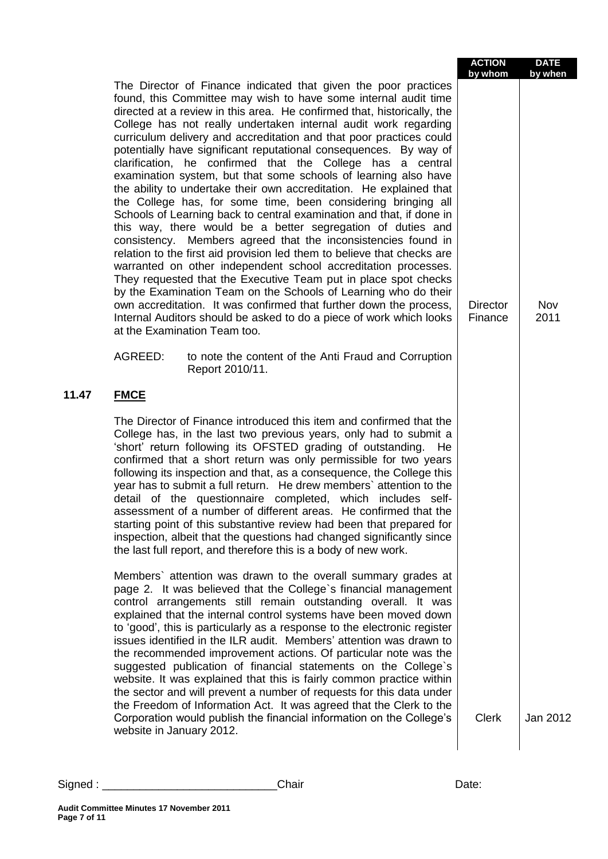|       |                                                                                                                                                                                                                                                                                                                                                                                                                                                                                                                                                                                                                                                                                                                                                                                                                                                                                                                                                                                                                                                                                                                                                                                                                                                                                                                                                                               | <b>ACTION</b><br>by whom   | <b>DATE</b><br>by when |
|-------|-------------------------------------------------------------------------------------------------------------------------------------------------------------------------------------------------------------------------------------------------------------------------------------------------------------------------------------------------------------------------------------------------------------------------------------------------------------------------------------------------------------------------------------------------------------------------------------------------------------------------------------------------------------------------------------------------------------------------------------------------------------------------------------------------------------------------------------------------------------------------------------------------------------------------------------------------------------------------------------------------------------------------------------------------------------------------------------------------------------------------------------------------------------------------------------------------------------------------------------------------------------------------------------------------------------------------------------------------------------------------------|----------------------------|------------------------|
|       | The Director of Finance indicated that given the poor practices<br>found, this Committee may wish to have some internal audit time<br>directed at a review in this area. He confirmed that, historically, the<br>College has not really undertaken internal audit work regarding<br>curriculum delivery and accreditation and that poor practices could<br>potentially have significant reputational consequences. By way of<br>clarification, he confirmed that the College has a central<br>examination system, but that some schools of learning also have<br>the ability to undertake their own accreditation. He explained that<br>the College has, for some time, been considering bringing all<br>Schools of Learning back to central examination and that, if done in<br>this way, there would be a better segregation of duties and<br>consistency. Members agreed that the inconsistencies found in<br>relation to the first aid provision led them to believe that checks are<br>warranted on other independent school accreditation processes.<br>They requested that the Executive Team put in place spot checks<br>by the Examination Team on the Schools of Learning who do their<br>own accreditation. It was confirmed that further down the process,<br>Internal Auditors should be asked to do a piece of work which looks<br>at the Examination Team too. | <b>Director</b><br>Finance | Nov<br>2011            |
|       | AGREED:<br>to note the content of the Anti Fraud and Corruption<br>Report 2010/11.                                                                                                                                                                                                                                                                                                                                                                                                                                                                                                                                                                                                                                                                                                                                                                                                                                                                                                                                                                                                                                                                                                                                                                                                                                                                                            |                            |                        |
| 11.47 | <b>FMCE</b>                                                                                                                                                                                                                                                                                                                                                                                                                                                                                                                                                                                                                                                                                                                                                                                                                                                                                                                                                                                                                                                                                                                                                                                                                                                                                                                                                                   |                            |                        |
|       | The Director of Finance introduced this item and confirmed that the<br>College has, in the last two previous years, only had to submit a<br>'short' return following its OFSTED grading of outstanding.<br>He<br>confirmed that a short return was only permissible for two years<br>following its inspection and that, as a consequence, the College this<br>year has to submit a full return. He drew members' attention to the<br>detail of the questionnaire completed, which includes self-<br>assessment of a number of different areas. He confirmed that the<br>starting point of this substantive review had been that prepared for<br>inspection, albeit that the questions had changed significantly since<br>the last full report, and therefore this is a body of new work.                                                                                                                                                                                                                                                                                                                                                                                                                                                                                                                                                                                      |                            |                        |
|       | Members' attention was drawn to the overall summary grades at<br>page 2. It was believed that the College's financial management<br>control arrangements still remain outstanding overall. It was<br>explained that the internal control systems have been moved down<br>to 'good', this is particularly as a response to the electronic register<br>issues identified in the ILR audit. Members' attention was drawn to<br>the recommended improvement actions. Of particular note was the<br>suggested publication of financial statements on the College's<br>website. It was explained that this is fairly common practice within<br>the sector and will prevent a number of requests for this data under<br>the Freedom of Information Act. It was agreed that the Clerk to the                                                                                                                                                                                                                                                                                                                                                                                                                                                                                                                                                                                          |                            |                        |
|       | Corporation would publish the financial information on the College's<br>website in January 2012.                                                                                                                                                                                                                                                                                                                                                                                                                                                                                                                                                                                                                                                                                                                                                                                                                                                                                                                                                                                                                                                                                                                                                                                                                                                                              | <b>Clerk</b>               | Jan 2012               |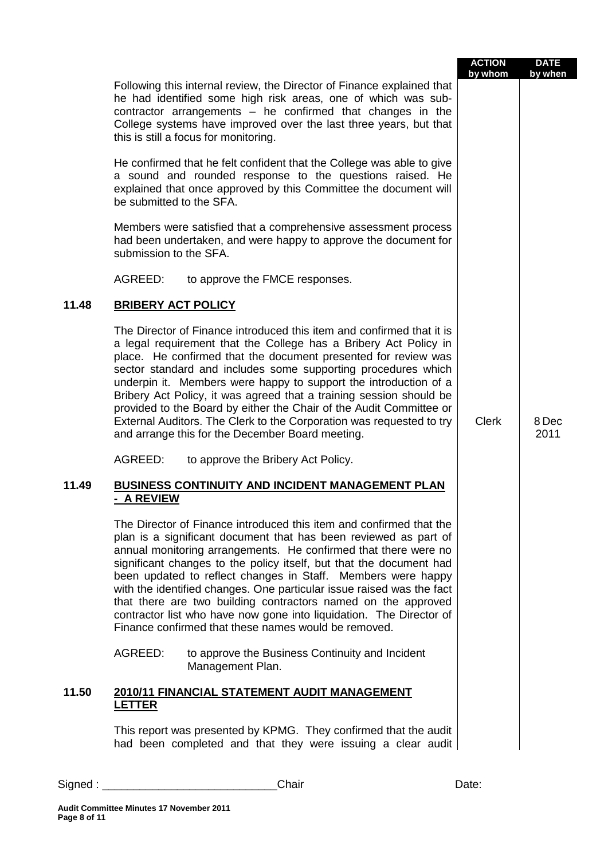|       |                                                                                                                                                                                                                                                                                                                                                                                                                                                                                                                                                                                                                            | <b>ACTION</b><br>by whom | <b>DATE</b><br>by when |
|-------|----------------------------------------------------------------------------------------------------------------------------------------------------------------------------------------------------------------------------------------------------------------------------------------------------------------------------------------------------------------------------------------------------------------------------------------------------------------------------------------------------------------------------------------------------------------------------------------------------------------------------|--------------------------|------------------------|
|       | Following this internal review, the Director of Finance explained that<br>he had identified some high risk areas, one of which was sub-<br>contractor arrangements - he confirmed that changes in the<br>College systems have improved over the last three years, but that<br>this is still a focus for monitoring.                                                                                                                                                                                                                                                                                                        |                          |                        |
|       | He confirmed that he felt confident that the College was able to give<br>a sound and rounded response to the questions raised. He<br>explained that once approved by this Committee the document will<br>be submitted to the SFA.                                                                                                                                                                                                                                                                                                                                                                                          |                          |                        |
|       | Members were satisfied that a comprehensive assessment process<br>had been undertaken, and were happy to approve the document for<br>submission to the SFA.                                                                                                                                                                                                                                                                                                                                                                                                                                                                |                          |                        |
|       | AGREED:<br>to approve the FMCE responses.                                                                                                                                                                                                                                                                                                                                                                                                                                                                                                                                                                                  |                          |                        |
| 11.48 | <b>BRIBERY ACT POLICY</b>                                                                                                                                                                                                                                                                                                                                                                                                                                                                                                                                                                                                  |                          |                        |
|       | The Director of Finance introduced this item and confirmed that it is<br>a legal requirement that the College has a Bribery Act Policy in<br>place. He confirmed that the document presented for review was<br>sector standard and includes some supporting procedures which<br>underpin it. Members were happy to support the introduction of a<br>Bribery Act Policy, it was agreed that a training session should be<br>provided to the Board by either the Chair of the Audit Committee or<br>External Auditors. The Clerk to the Corporation was requested to try<br>and arrange this for the December Board meeting. | <b>Clerk</b>             | 8 Dec<br>2011          |
|       | AGREED:<br>to approve the Bribery Act Policy.                                                                                                                                                                                                                                                                                                                                                                                                                                                                                                                                                                              |                          |                        |
| 11.49 | <b>BUSINESS CONTINUITY AND INCIDENT MANAGEMENT PLAN</b><br><b>A REVIEW</b>                                                                                                                                                                                                                                                                                                                                                                                                                                                                                                                                                 |                          |                        |
|       | The Director of Finance introduced this item and confirmed that the<br>plan is a significant document that has been reviewed as part of<br>annual monitoring arrangements. He confirmed that there were no<br>significant changes to the policy itself, but that the document had<br>been updated to reflect changes in Staff. Members were happy<br>with the identified changes. One particular issue raised was the fact<br>that there are two building contractors named on the approved<br>contractor list who have now gone into liquidation. The Director of<br>Finance confirmed that these names would be removed. |                          |                        |
|       | AGREED:<br>to approve the Business Continuity and Incident<br>Management Plan.                                                                                                                                                                                                                                                                                                                                                                                                                                                                                                                                             |                          |                        |
| 11.50 | 2010/11 FINANCIAL STATEMENT AUDIT MANAGEMENT<br><b>LETTER</b>                                                                                                                                                                                                                                                                                                                                                                                                                                                                                                                                                              |                          |                        |
|       | This report was presented by KPMG. They confirmed that the audit<br>had been completed and that they were issuing a clear audit                                                                                                                                                                                                                                                                                                                                                                                                                                                                                            |                          |                        |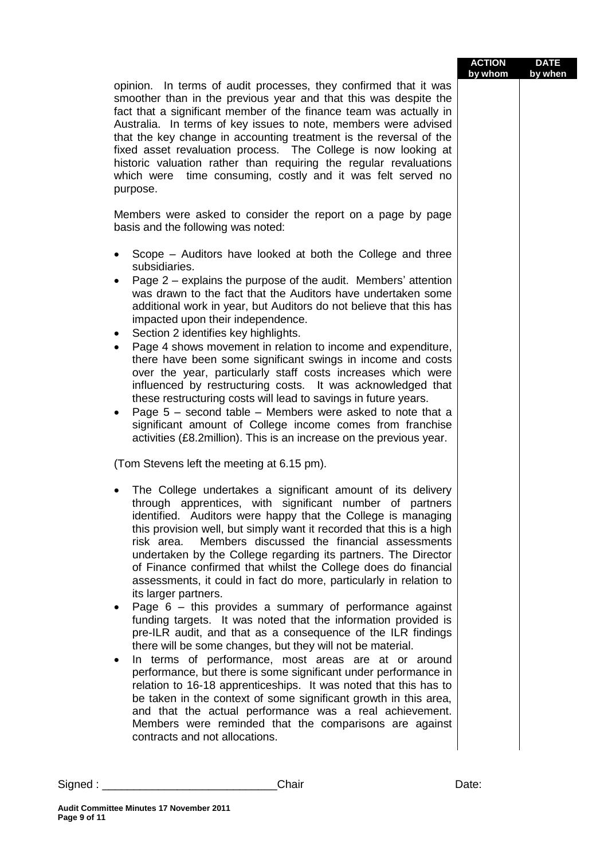| purpose.                                                                        | opinion. In terms of audit processes, they confirmed that it was<br>smoother than in the previous year and that this was despite the<br>fact that a significant member of the finance team was actually in<br>Australia. In terms of key issues to note, members were advised<br>that the key change in accounting treatment is the reversal of the<br>fixed asset revaluation process. The College is now looking at<br>historic valuation rather than requiring the regular revaluations<br>which were time consuming, costly and it was felt served no<br>Members were asked to consider the report on a page by page<br>basis and the following was noted:                                                                                                                                                                                                                                                                                                                                                                                                                                                                                                                                                                                                                                      | <b>ACTION</b><br>by whom | <b>DATE</b><br>by when |
|---------------------------------------------------------------------------------|-----------------------------------------------------------------------------------------------------------------------------------------------------------------------------------------------------------------------------------------------------------------------------------------------------------------------------------------------------------------------------------------------------------------------------------------------------------------------------------------------------------------------------------------------------------------------------------------------------------------------------------------------------------------------------------------------------------------------------------------------------------------------------------------------------------------------------------------------------------------------------------------------------------------------------------------------------------------------------------------------------------------------------------------------------------------------------------------------------------------------------------------------------------------------------------------------------------------------------------------------------------------------------------------------------|--------------------------|------------------------|
| $\bullet$<br>$\bullet$<br>٠                                                     | Scope – Auditors have looked at both the College and three<br>subsidiaries.<br>Page 2 – explains the purpose of the audit. Members' attention<br>was drawn to the fact that the Auditors have undertaken some<br>additional work in year, but Auditors do not believe that this has<br>impacted upon their independence.<br>Section 2 identifies key highlights.<br>Page 4 shows movement in relation to income and expenditure,<br>there have been some significant swings in income and costs<br>over the year, particularly staff costs increases which were<br>influenced by restructuring costs. It was acknowledged that<br>these restructuring costs will lead to savings in future years.<br>Page $5$ – second table – Members were asked to note that a<br>significant amount of College income comes from franchise<br>activities (£8.2million). This is an increase on the previous year.                                                                                                                                                                                                                                                                                                                                                                                                |                          |                        |
| $\bullet$                                                                       | (Tom Stevens left the meeting at 6.15 pm).<br>The College undertakes a significant amount of its delivery<br>through apprentices, with significant number of partners<br>identified. Auditors were happy that the College is managing<br>this provision well, but simply want it recorded that this is a high<br>risk area.<br>Members discussed the financial assessments<br>undertaken by the College regarding its partners. The Director<br>of Finance confirmed that whilst the College does do financial<br>assessments, it could in fact do more, particularly in relation to<br>its larger partners.<br>Page $6 -$ this provides a summary of performance against<br>funding targets. It was noted that the information provided is<br>pre-ILR audit, and that as a consequence of the ILR findings<br>there will be some changes, but they will not be material.<br>In terms of performance, most areas are at or around<br>performance, but there is some significant under performance in<br>relation to 16-18 apprenticeships. It was noted that this has to<br>be taken in the context of some significant growth in this area,<br>and that the actual performance was a real achievement.<br>Members were reminded that the comparisons are against<br>contracts and not allocations. |                          |                        |
| Signed : __________________________<br>Audit Committee Minutes 17 November 2011 | Chair                                                                                                                                                                                                                                                                                                                                                                                                                                                                                                                                                                                                                                                                                                                                                                                                                                                                                                                                                                                                                                                                                                                                                                                                                                                                                               | Date:                    |                        |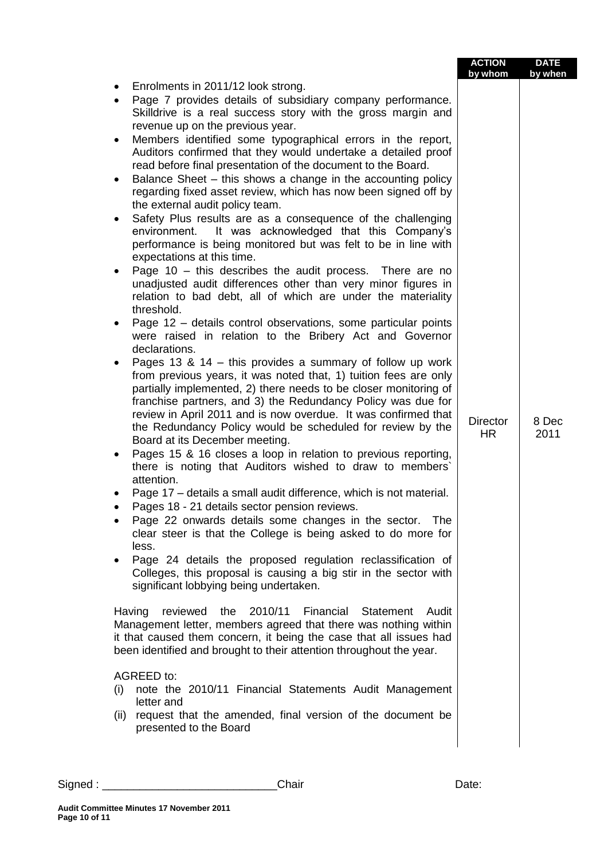|           |                                                                                                                                                                                                                                                                                                                                                                                                                                                                                                         | <b>ACTION</b><br>by whom | <b>DATE</b><br>by when |
|-----------|---------------------------------------------------------------------------------------------------------------------------------------------------------------------------------------------------------------------------------------------------------------------------------------------------------------------------------------------------------------------------------------------------------------------------------------------------------------------------------------------------------|--------------------------|------------------------|
|           | Enrolments in 2011/12 look strong.                                                                                                                                                                                                                                                                                                                                                                                                                                                                      |                          |                        |
| $\bullet$ | Page 7 provides details of subsidiary company performance.<br>Skilldrive is a real success story with the gross margin and<br>revenue up on the previous year.                                                                                                                                                                                                                                                                                                                                          |                          |                        |
| $\bullet$ | Members identified some typographical errors in the report,<br>Auditors confirmed that they would undertake a detailed proof<br>read before final presentation of the document to the Board.                                                                                                                                                                                                                                                                                                            |                          |                        |
| $\bullet$ | Balance Sheet – this shows a change in the accounting policy<br>regarding fixed asset review, which has now been signed off by<br>the external audit policy team.                                                                                                                                                                                                                                                                                                                                       |                          |                        |
|           | Safety Plus results are as a consequence of the challenging<br>It was acknowledged that this Company's<br>environment.<br>performance is being monitored but was felt to be in line with<br>expectations at this time.                                                                                                                                                                                                                                                                                  |                          |                        |
| ٠         | Page 10 - this describes the audit process. There are no<br>unadjusted audit differences other than very minor figures in<br>relation to bad debt, all of which are under the materiality<br>threshold.                                                                                                                                                                                                                                                                                                 |                          |                        |
|           | Page 12 – details control observations, some particular points<br>were raised in relation to the Bribery Act and Governor<br>declarations.                                                                                                                                                                                                                                                                                                                                                              |                          |                        |
| ٠         | Pages 13 & 14 $-$ this provides a summary of follow up work<br>from previous years, it was noted that, 1) tuition fees are only<br>partially implemented, 2) there needs to be closer monitoring of<br>franchise partners, and 3) the Redundancy Policy was due for<br>review in April 2011 and is now overdue. It was confirmed that<br>the Redundancy Policy would be scheduled for review by the<br>Board at its December meeting.<br>Pages 15 & 16 closes a loop in relation to previous reporting, | <b>Director</b><br>HR    | 8 Dec<br>2011          |
|           | there is noting that Auditors wished to draw to members'<br>attention.                                                                                                                                                                                                                                                                                                                                                                                                                                  |                          |                        |
|           | Page 17 - details a small audit difference, which is not material.<br>Pages 18 - 21 details sector pension reviews.                                                                                                                                                                                                                                                                                                                                                                                     |                          |                        |
|           | Page 22 onwards details some changes in the sector.<br>The<br>clear steer is that the College is being asked to do more for<br>less.                                                                                                                                                                                                                                                                                                                                                                    |                          |                        |
|           | Page 24 details the proposed regulation reclassification of<br>Colleges, this proposal is causing a big stir in the sector with<br>significant lobbying being undertaken.                                                                                                                                                                                                                                                                                                                               |                          |                        |
| Having    | reviewed<br>2010/11<br>Financial<br><b>Statement</b><br>Audit<br>the<br>Management letter, members agreed that there was nothing within<br>it that caused them concern, it being the case that all issues had<br>been identified and brought to their attention throughout the year.                                                                                                                                                                                                                    |                          |                        |
|           | <b>AGREED to:</b>                                                                                                                                                                                                                                                                                                                                                                                                                                                                                       |                          |                        |
| (i)       | note the 2010/11 Financial Statements Audit Management<br>letter and                                                                                                                                                                                                                                                                                                                                                                                                                                    |                          |                        |
| (ii)      | request that the amended, final version of the document be                                                                                                                                                                                                                                                                                                                                                                                                                                              |                          |                        |